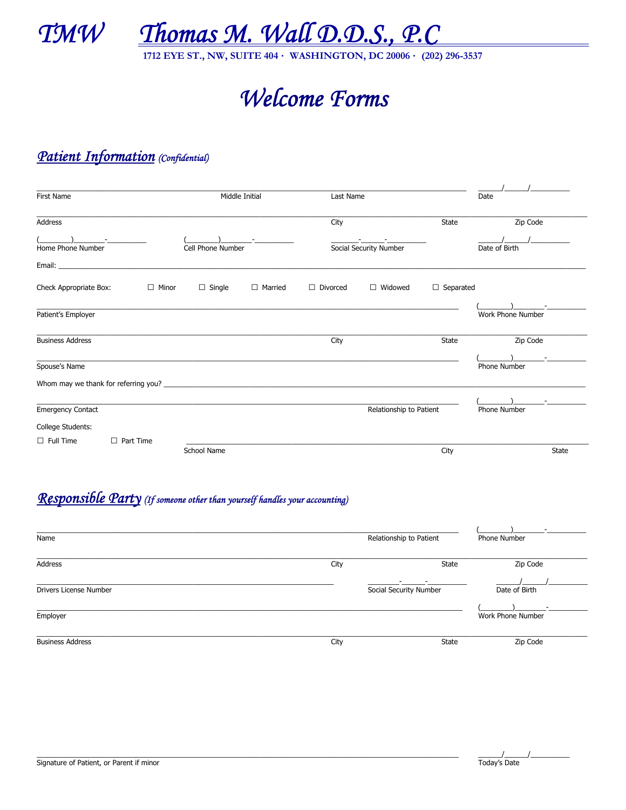

<u>Thomas M. Wall D.D.S., P.C</u>

1712 EYE ST., NW, SUITE 404 · WASHINGTON, DC 20006 · (202) 296-3537

# Welcome Forms

## Patient Information (Confidential)

| First Name               |                           | Middle Initial     |                | Last Name               |                        |                  | Date                |              |
|--------------------------|---------------------------|--------------------|----------------|-------------------------|------------------------|------------------|---------------------|--------------|
|                          |                           |                    |                |                         |                        |                  |                     |              |
| Address                  |                           |                    |                | City                    |                        | State            | Zip Code            |              |
| Home Phone Number        | and the second control of | Cell Phone Number  |                |                         | Social Security Number |                  | Date of Birth       |              |
|                          |                           |                    |                |                         |                        |                  |                     |              |
| Check Appropriate Box:   | $\Box$ Minor              | $\Box$ Single      | $\Box$ Married | $\Box$ Divorced         | $\Box$ Widowed         | $\Box$ Separated |                     |              |
| Patient's Employer       |                           |                    |                |                         |                        |                  | Work Phone Number   |              |
| <b>Business Address</b>  |                           |                    |                | City                    |                        | <b>State</b>     | Zip Code            |              |
| Spouse's Name            |                           |                    |                |                         |                        |                  | <b>Phone Number</b> |              |
|                          |                           |                    |                |                         |                        |                  |                     |              |
| <b>Emergency Contact</b> |                           |                    |                | Relationship to Patient |                        |                  | Phone Number        |              |
| College Students:        |                           |                    |                |                         |                        |                  |                     |              |
| $\Box$ Full Time         | $\Box$ Part Time          |                    |                |                         |                        |                  |                     |              |
|                          |                           | <b>School Name</b> |                |                         |                        | City             |                     | <b>State</b> |

## Responsible Party (If someone other than yourself handles your accounting)

| Name                          |      | Relationship to Patient     | ۰<br>Phone Number      |
|-------------------------------|------|-----------------------------|------------------------|
| Address                       | City | State                       | Zip Code               |
| <b>Drivers License Number</b> |      | -<br>Social Security Number | Date of Birth          |
| Employer                      |      |                             | -<br>Work Phone Number |
| <b>Business Address</b>       | City | State                       | Zip Code               |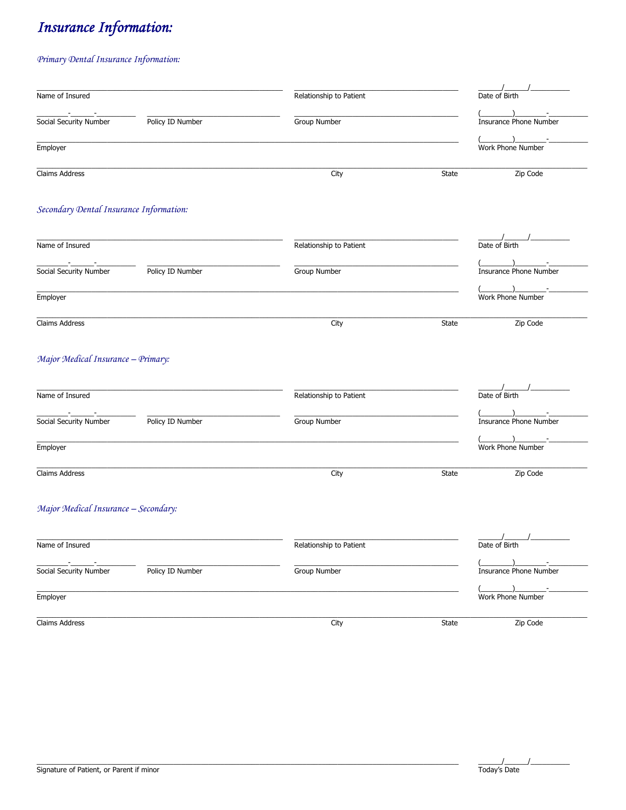# **Insurance Information:**

### Primary Dental Insurance Information:

| Name of Insured                         |                  | Relationship to Patient |       | Date of Birth                                                                                                                                                                                                                                                                                                                                                         |
|-----------------------------------------|------------------|-------------------------|-------|-----------------------------------------------------------------------------------------------------------------------------------------------------------------------------------------------------------------------------------------------------------------------------------------------------------------------------------------------------------------------|
| Social Security Number                  | Policy ID Number | Group Number            |       | Insurance Phone Number                                                                                                                                                                                                                                                                                                                                                |
| Employer                                |                  |                         |       | $\begin{picture}(20,20)(-0,0) \put(0,0){\line(1,0){10}} \put(15,0){\line(1,0){10}} \put(15,0){\line(1,0){10}} \put(15,0){\line(1,0){10}} \put(15,0){\line(1,0){10}} \put(15,0){\line(1,0){10}} \put(15,0){\line(1,0){10}} \put(15,0){\line(1,0){10}} \put(15,0){\line(1,0){10}} \put(15,0){\line(1,0){10}} \put(15,0){\line(1,0){10}} \put(15,0$<br>Work Phone Number |
| Claims Address                          |                  | City                    | State | Zip Code                                                                                                                                                                                                                                                                                                                                                              |
| Secondary Dental Insurance Information: |                  |                         |       |                                                                                                                                                                                                                                                                                                                                                                       |
| Name of Insured                         |                  | Relationship to Patient |       | Date of Birth                                                                                                                                                                                                                                                                                                                                                         |
| Social Security Number                  | Policy ID Number | Group Number            |       | $\overline{\phantom{a}}$<br>Insurance Phone Number                                                                                                                                                                                                                                                                                                                    |
| Employer                                |                  |                         |       | $\rightarrow$<br>Work Phone Number                                                                                                                                                                                                                                                                                                                                    |
| Claims Address                          |                  | City                    | State | Zip Code                                                                                                                                                                                                                                                                                                                                                              |
| Major Medical Insurance - Primary:      |                  |                         |       |                                                                                                                                                                                                                                                                                                                                                                       |
| Name of Insured                         |                  | Relationship to Patient |       | Date of Birth                                                                                                                                                                                                                                                                                                                                                         |
| Social Security Number                  | Policy ID Number | Group Number            |       | Insurance Phone Number                                                                                                                                                                                                                                                                                                                                                |
| Employer                                |                  |                         |       | Work Phone Number                                                                                                                                                                                                                                                                                                                                                     |
| Claims Address                          |                  | City                    | State | Zip Code                                                                                                                                                                                                                                                                                                                                                              |
| Major Medical Insurance - Secondary:    |                  |                         |       |                                                                                                                                                                                                                                                                                                                                                                       |
| Name of Insured                         |                  | Relationship to Patient |       | Date of Birth                                                                                                                                                                                                                                                                                                                                                         |
| Social Security Number                  | Policy ID Number | Group Number            |       | Insurance Phone Number                                                                                                                                                                                                                                                                                                                                                |
| Employer                                |                  |                         |       | $\qquad \qquad$<br>Work Phone Number                                                                                                                                                                                                                                                                                                                                  |
| Claims Address                          |                  | City                    | State | Zip Code                                                                                                                                                                                                                                                                                                                                                              |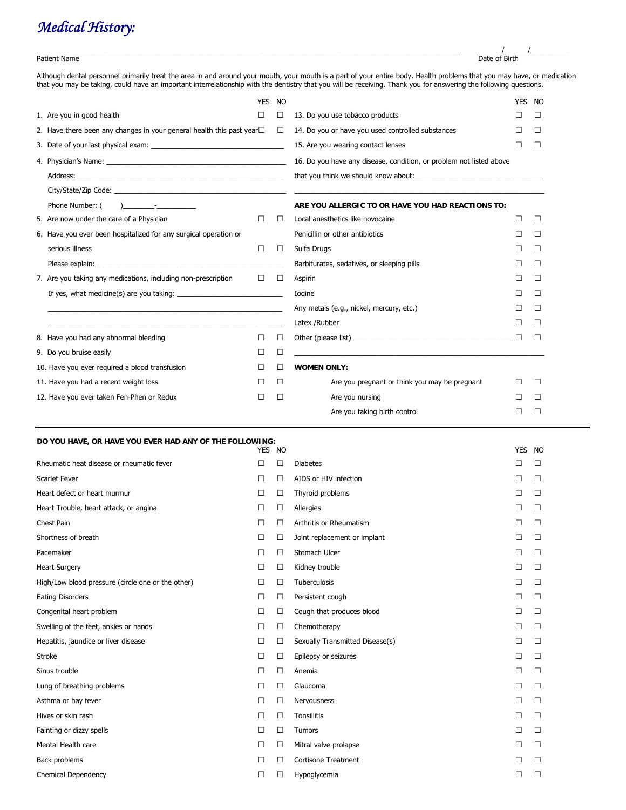# *Medical History:*

#### Patient Name Date of Birth

Although dental personnel primarily treat the area in and around your mouth, your mouth is a part of your entire body. Health problems that you may have, or medication that you may be taking, could have an important interrelationship with the dentistry that you will be receiving. Thank you for answering the following questions.

\_\_\_\_\_\_\_\_\_\_\_\_\_\_\_\_\_\_\_\_\_\_\_\_\_\_\_\_\_\_\_\_\_\_\_\_\_\_\_\_\_\_\_\_\_\_\_\_\_\_\_\_\_\_\_\_\_\_\_\_\_\_\_\_\_\_\_\_\_\_\_\_\_\_\_\_\_\_\_\_\_\_\_\_\_\_\_\_\_\_\_\_\_\_\_\_\_\_\_\_\_\_\_\_\_\_\_\_ \_\_\_\_\_\_/\_\_\_\_\_\_/\_\_\_\_\_\_\_\_\_\_

|                                                                                                                                                                                                                                                                                                                                                                                                         | <b>YES</b>                                                                            | <b>NO</b>                          |                                                                                                                       | <b>YES</b> | <b>NO</b> |  |
|---------------------------------------------------------------------------------------------------------------------------------------------------------------------------------------------------------------------------------------------------------------------------------------------------------------------------------------------------------------------------------------------------------|---------------------------------------------------------------------------------------|------------------------------------|-----------------------------------------------------------------------------------------------------------------------|------------|-----------|--|
| 1. Are you in good health                                                                                                                                                                                                                                                                                                                                                                               |                                                                                       | $\perp$                            | 13. Do you use tobacco products                                                                                       |            | $\perp$   |  |
|                                                                                                                                                                                                                                                                                                                                                                                                         | 2. Have there been any changes in your general health this past year $\Box$<br>$\Box$ |                                    | 14. Do you or have you used controlled substances                                                                     |            | □         |  |
|                                                                                                                                                                                                                                                                                                                                                                                                         |                                                                                       | 15. Are you wearing contact lenses | $\perp$                                                                                                               | Л          |           |  |
|                                                                                                                                                                                                                                                                                                                                                                                                         |                                                                                       |                                    | 16. Do you have any disease, condition, or problem not listed above                                                   |            |           |  |
|                                                                                                                                                                                                                                                                                                                                                                                                         |                                                                                       |                                    | that you think we should know about: The manufactured with the state of the state of the state of the state of        |            |           |  |
|                                                                                                                                                                                                                                                                                                                                                                                                         |                                                                                       |                                    |                                                                                                                       |            |           |  |
| Phone Number: (<br>$\overline{a}$ $\overline{a}$ $\overline{a}$ $\overline{a}$ $\overline{a}$ $\overline{a}$ $\overline{a}$ $\overline{a}$ $\overline{a}$ $\overline{a}$ $\overline{a}$ $\overline{a}$ $\overline{a}$ $\overline{a}$ $\overline{a}$ $\overline{a}$ $\overline{a}$ $\overline{a}$ $\overline{a}$ $\overline{a}$ $\overline{a}$ $\overline{a}$ $\overline{a}$ $\overline{a}$ $\overline{$ |                                                                                       |                                    | ARE YOU ALLERGIC TO OR HAVE YOU HAD REACTIONS TO:                                                                     |            |           |  |
| 5. Are now under the care of a Physician                                                                                                                                                                                                                                                                                                                                                                | $\mathsf{L}$                                                                          | $\perp$                            | Local anesthetics like novocaine                                                                                      | П          | $\Box$    |  |
| 6. Have you ever been hospitalized for any surgical operation or                                                                                                                                                                                                                                                                                                                                        |                                                                                       |                                    | Penicillin or other antibiotics                                                                                       | $\perp$    | Л         |  |
| serious illness                                                                                                                                                                                                                                                                                                                                                                                         | $\Box$                                                                                | $\Box$                             | Sulfa Drugs                                                                                                           |            | □         |  |
|                                                                                                                                                                                                                                                                                                                                                                                                         |                                                                                       |                                    | Barbiturates, sedatives, or sleeping pills                                                                            |            | □         |  |
| 7. Are you taking any medications, including non-prescription<br>$\Box$                                                                                                                                                                                                                                                                                                                                 |                                                                                       | $\Box$                             | Aspirin                                                                                                               |            | □         |  |
| If yes, what medicine(s) are you taking:                                                                                                                                                                                                                                                                                                                                                                |                                                                                       |                                    | Iodine                                                                                                                |            | □         |  |
|                                                                                                                                                                                                                                                                                                                                                                                                         |                                                                                       |                                    | Any metals (e.g., nickel, mercury, etc.)                                                                              |            | $\perp$   |  |
|                                                                                                                                                                                                                                                                                                                                                                                                         |                                                                                       |                                    | Latex / Rubber                                                                                                        |            | Л         |  |
| 8. Have you had any abnormal bleeding                                                                                                                                                                                                                                                                                                                                                                   | П                                                                                     | Л                                  | Other (please list)                                                                                                   | П          | Л         |  |
| 9. Do you bruise easily                                                                                                                                                                                                                                                                                                                                                                                 | $\perp$                                                                               | П                                  | <u> 1989 - Johann Stoff, deutscher Stoff, der Stoff, der Stoff, der Stoff, der Stoff, der Stoff, der Stoff, der S</u> |            |           |  |
| 10. Have you ever required a blood transfusion                                                                                                                                                                                                                                                                                                                                                          |                                                                                       | $\perp$                            | <b>WOMEN ONLY:</b>                                                                                                    |            |           |  |
| 11. Have you had a recent weight loss                                                                                                                                                                                                                                                                                                                                                                   | $\perp$                                                                               | □                                  | Are you pregnant or think you may be pregnant                                                                         | $\Box$     | $\Box$    |  |
| 12. Have you ever taken Fen-Phen or Redux                                                                                                                                                                                                                                                                                                                                                               | П                                                                                     | $\Box$                             | Are you nursing                                                                                                       |            | $\Box$    |  |
|                                                                                                                                                                                                                                                                                                                                                                                                         |                                                                                       |                                    | Are you taking birth control                                                                                          |            | П         |  |

### **DO YOU HAVE, OR HAVE YOU EVER HAD ANY OF THE FOLLOWING:**

|                                                   | <b>YES</b> | <b>NO</b> |                                 | <b>YES</b> | <b>NO</b> |
|---------------------------------------------------|------------|-----------|---------------------------------|------------|-----------|
| Rheumatic heat disease or rheumatic fever         | П          | □         | <b>Diabetes</b>                 | П          | $\Box$    |
| <b>Scarlet Fever</b>                              | □          | $\Box$    | AIDS or HIV infection           | ⊔          | $\Box$    |
| Heart defect or heart murmur                      | $\Box$     | $\Box$    | Thyroid problems                | $\Box$     | $\Box$    |
| Heart Trouble, heart attack, or angina            | □          | □         | Allergies                       | □          | $\Box$    |
| Chest Pain                                        | □          | □         | Arthritis or Rheumatism         | □          | □         |
| Shortness of breath                               | □          | $\Box$    | Joint replacement or implant    | □          | $\Box$    |
| Pacemaker                                         | □          | □         | Stomach Ulcer                   | □          | $\Box$    |
| <b>Heart Surgery</b>                              | П          | $\Box$    | Kidney trouble                  | П          | П         |
| High/Low blood pressure (circle one or the other) | □          | □         | Tuberculosis                    | □          | $\Box$    |
| <b>Eating Disorders</b>                           | □          | □         | Persistent cough                | □          | $\Box$    |
| Congenital heart problem                          | □          | $\Box$    | Cough that produces blood       | □          | $\Box$    |
| Swelling of the feet, ankles or hands             | $\Box$     | $\Box$    | Chemotherapy                    | П          | $\Box$    |
| Hepatitis, jaundice or liver disease              | □          | □         | Sexually Transmitted Disease(s) | □          | $\Box$    |
| Stroke                                            | □          | $\Box$    | Epilepsy or seizures            | П          | П         |
| Sinus trouble                                     | $\Box$     | $\Box$    | Anemia                          | □          | $\Box$    |
| Lung of breathing problems                        | □          | □         | Glaucoma                        | □          | $\Box$    |
| Asthma or hay fever                               | □          | □         | Nervousness                     | □          | $\Box$    |
| Hives or skin rash                                | □          | $\Box$    | <b>Tonsillitis</b>              | П          | $\Box$    |
| Fainting or dizzy spells                          | □          | □         | Tumors                          | □          | $\Box$    |
| Mental Health care                                | П          | □         | Mitral valve prolapse           | П          | П         |
| Back problems                                     | □          | □         | <b>Cortisone Treatment</b>      | □          | $\Box$    |
| Chemical Dependency                               | П          | □         | Hypoglycemia                    | П          | □         |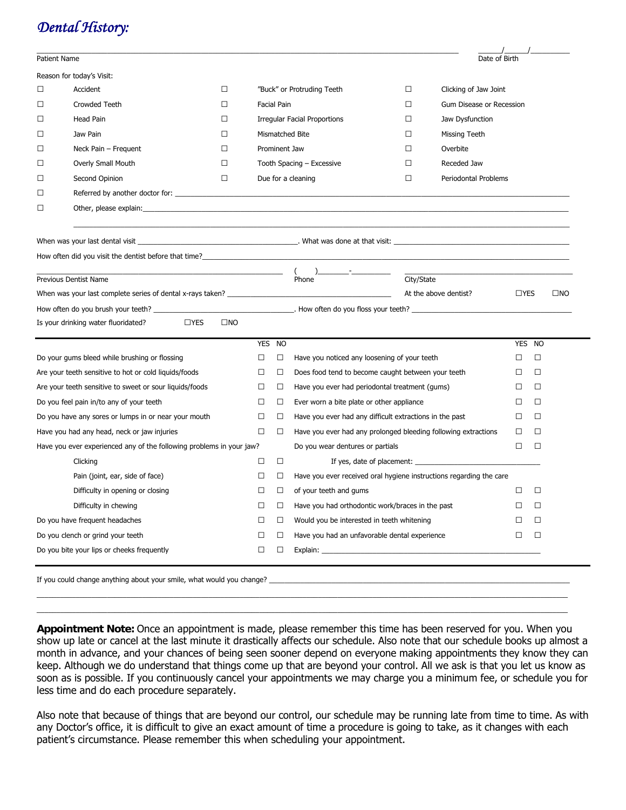| Patient Name                                              |                                                                                                                                                                                                                                                                                                     |   |                                                                                     | Date of Birth                                                                                                                                                                                                                                        |                                                                                                                                                                                                                                                                                                                                                                                                                                                                                                                                                                                                                                             |        |                                                                                |  |
|-----------------------------------------------------------|-----------------------------------------------------------------------------------------------------------------------------------------------------------------------------------------------------------------------------------------------------------------------------------------------------|---|-------------------------------------------------------------------------------------|------------------------------------------------------------------------------------------------------------------------------------------------------------------------------------------------------------------------------------------------------|---------------------------------------------------------------------------------------------------------------------------------------------------------------------------------------------------------------------------------------------------------------------------------------------------------------------------------------------------------------------------------------------------------------------------------------------------------------------------------------------------------------------------------------------------------------------------------------------------------------------------------------------|--------|--------------------------------------------------------------------------------|--|
|                                                           |                                                                                                                                                                                                                                                                                                     |   |                                                                                     |                                                                                                                                                                                                                                                      |                                                                                                                                                                                                                                                                                                                                                                                                                                                                                                                                                                                                                                             |        |                                                                                |  |
| $\Box$<br>Accident<br>⊔                                   |                                                                                                                                                                                                                                                                                                     |   |                                                                                     | □<br>Clicking of Jaw Joint                                                                                                                                                                                                                           |                                                                                                                                                                                                                                                                                                                                                                                                                                                                                                                                                                                                                                             |        |                                                                                |  |
| □<br>Crowded Teeth<br>□                                   |                                                                                                                                                                                                                                                                                                     |   |                                                                                     | □                                                                                                                                                                                                                                                    | Gum Disease or Recession                                                                                                                                                                                                                                                                                                                                                                                                                                                                                                                                                                                                                    |        |                                                                                |  |
| Head Pain<br>□<br>⊔                                       |                                                                                                                                                                                                                                                                                                     |   |                                                                                     | Jaw Dysfunction<br>□                                                                                                                                                                                                                                 |                                                                                                                                                                                                                                                                                                                                                                                                                                                                                                                                                                                                                                             |        |                                                                                |  |
| Jaw Pain                                                  | □                                                                                                                                                                                                                                                                                                   |   |                                                                                     | $\Box$<br>Missing Teeth                                                                                                                                                                                                                              |                                                                                                                                                                                                                                                                                                                                                                                                                                                                                                                                                                                                                                             |        |                                                                                |  |
| Neck Pain - Frequent                                      | □                                                                                                                                                                                                                                                                                                   |   |                                                                                     | □<br>Overbite                                                                                                                                                                                                                                        |                                                                                                                                                                                                                                                                                                                                                                                                                                                                                                                                                                                                                                             |        |                                                                                |  |
| Overly Small Mouth                                        | $\perp$                                                                                                                                                                                                                                                                                             |   |                                                                                     | П<br>Receded Jaw                                                                                                                                                                                                                                     |                                                                                                                                                                                                                                                                                                                                                                                                                                                                                                                                                                                                                                             |        |                                                                                |  |
| Second Opinion                                            | □                                                                                                                                                                                                                                                                                                   |   |                                                                                     | □<br>Periodontal Problems                                                                                                                                                                                                                            |                                                                                                                                                                                                                                                                                                                                                                                                                                                                                                                                                                                                                                             |        |                                                                                |  |
|                                                           |                                                                                                                                                                                                                                                                                                     |   |                                                                                     |                                                                                                                                                                                                                                                      |                                                                                                                                                                                                                                                                                                                                                                                                                                                                                                                                                                                                                                             |        |                                                                                |  |
|                                                           |                                                                                                                                                                                                                                                                                                     |   |                                                                                     |                                                                                                                                                                                                                                                      |                                                                                                                                                                                                                                                                                                                                                                                                                                                                                                                                                                                                                                             |        |                                                                                |  |
|                                                           |                                                                                                                                                                                                                                                                                                     |   |                                                                                     |                                                                                                                                                                                                                                                      |                                                                                                                                                                                                                                                                                                                                                                                                                                                                                                                                                                                                                                             |        |                                                                                |  |
|                                                           |                                                                                                                                                                                                                                                                                                     |   |                                                                                     |                                                                                                                                                                                                                                                      |                                                                                                                                                                                                                                                                                                                                                                                                                                                                                                                                                                                                                                             |        |                                                                                |  |
|                                                           |                                                                                                                                                                                                                                                                                                     |   |                                                                                     | ) and the set of the set of the set of the set of the set of the set of the set of the set of the set of the set of the set of the set of the set of the set of the set of the set of the set of the set of the set of the se<br>City/State<br>Phone |                                                                                                                                                                                                                                                                                                                                                                                                                                                                                                                                                                                                                                             |        |                                                                                |  |
|                                                           |                                                                                                                                                                                                                                                                                                     |   |                                                                                     | At the above dentist?                                                                                                                                                                                                                                |                                                                                                                                                                                                                                                                                                                                                                                                                                                                                                                                                                                                                                             |        | $\square$ NO                                                                   |  |
|                                                           |                                                                                                                                                                                                                                                                                                     |   |                                                                                     |                                                                                                                                                                                                                                                      |                                                                                                                                                                                                                                                                                                                                                                                                                                                                                                                                                                                                                                             |        |                                                                                |  |
| $\Box$ YES                                                | $\square$ NO                                                                                                                                                                                                                                                                                        |   |                                                                                     |                                                                                                                                                                                                                                                      |                                                                                                                                                                                                                                                                                                                                                                                                                                                                                                                                                                                                                                             |        |                                                                                |  |
|                                                           |                                                                                                                                                                                                                                                                                                     |   |                                                                                     |                                                                                                                                                                                                                                                      |                                                                                                                                                                                                                                                                                                                                                                                                                                                                                                                                                                                                                                             |        |                                                                                |  |
|                                                           |                                                                                                                                                                                                                                                                                                     | □ | □                                                                                   | Have you noticed any loosening of your teeth                                                                                                                                                                                                         | □                                                                                                                                                                                                                                                                                                                                                                                                                                                                                                                                                                                                                                           | □      |                                                                                |  |
|                                                           |                                                                                                                                                                                                                                                                                                     | ⊔ | ⊔                                                                                   | Does food tend to become caught between your teeth                                                                                                                                                                                                   | ⊔                                                                                                                                                                                                                                                                                                                                                                                                                                                                                                                                                                                                                                           | □      |                                                                                |  |
|                                                           |                                                                                                                                                                                                                                                                                                     | □ | ⊔                                                                                   | Have you ever had periodontal treatment (gums)                                                                                                                                                                                                       | ⊔                                                                                                                                                                                                                                                                                                                                                                                                                                                                                                                                                                                                                                           | □      |                                                                                |  |
| Do you feel pain in/to any of your teeth                  |                                                                                                                                                                                                                                                                                                     |   | □                                                                                   | Ever worn a bite plate or other appliance                                                                                                                                                                                                            | ⊔                                                                                                                                                                                                                                                                                                                                                                                                                                                                                                                                                                                                                                           | □      |                                                                                |  |
| Do you have any sores or lumps in or near your mouth<br>⊔ |                                                                                                                                                                                                                                                                                                     |   | ⊔                                                                                   | Have you ever had any difficult extractions in the past                                                                                                                                                                                              | ⊔                                                                                                                                                                                                                                                                                                                                                                                                                                                                                                                                                                                                                                           | $\Box$ |                                                                                |  |
| Have you had any head, neck or jaw injuries<br>□          |                                                                                                                                                                                                                                                                                                     |   | □                                                                                   | Have you ever had any prolonged bleeding following extractions                                                                                                                                                                                       | □                                                                                                                                                                                                                                                                                                                                                                                                                                                                                                                                                                                                                                           | $\Box$ |                                                                                |  |
|                                                           |                                                                                                                                                                                                                                                                                                     |   |                                                                                     | Do you wear dentures or partials                                                                                                                                                                                                                     | $\Box$                                                                                                                                                                                                                                                                                                                                                                                                                                                                                                                                                                                                                                      | $\Box$ |                                                                                |  |
| Clicking                                                  |                                                                                                                                                                                                                                                                                                     | ⊔ | □                                                                                   |                                                                                                                                                                                                                                                      |                                                                                                                                                                                                                                                                                                                                                                                                                                                                                                                                                                                                                                             |        |                                                                                |  |
| Pain (joint, ear, side of face)                           |                                                                                                                                                                                                                                                                                                     | □ | ⊔                                                                                   | Have you ever received oral hygiene instructions regarding the care                                                                                                                                                                                  |                                                                                                                                                                                                                                                                                                                                                                                                                                                                                                                                                                                                                                             |        |                                                                                |  |
| Difficulty in opening or closing                          |                                                                                                                                                                                                                                                                                                     |   | □                                                                                   | of your teeth and gums                                                                                                                                                                                                                               |                                                                                                                                                                                                                                                                                                                                                                                                                                                                                                                                                                                                                                             |        |                                                                                |  |
| Difficulty in chewing                                     |                                                                                                                                                                                                                                                                                                     | □ | □                                                                                   | Have you had orthodontic work/braces in the past                                                                                                                                                                                                     | □                                                                                                                                                                                                                                                                                                                                                                                                                                                                                                                                                                                                                                           | $\Box$ |                                                                                |  |
| Do you have frequent headaches                            |                                                                                                                                                                                                                                                                                                     |   | □                                                                                   | Would you be interested in teeth whitening                                                                                                                                                                                                           | □                                                                                                                                                                                                                                                                                                                                                                                                                                                                                                                                                                                                                                           | □      |                                                                                |  |
|                                                           |                                                                                                                                                                                                                                                                                                     | □ | □                                                                                   | Have you had an unfavorable dental experience                                                                                                                                                                                                        | $\Box$                                                                                                                                                                                                                                                                                                                                                                                                                                                                                                                                                                                                                                      | $\Box$ |                                                                                |  |
| Do you bite your lips or cheeks frequently                |                                                                                                                                                                                                                                                                                                     | ⊔ | Ц                                                                                   |                                                                                                                                                                                                                                                      |                                                                                                                                                                                                                                                                                                                                                                                                                                                                                                                                                                                                                                             |        |                                                                                |  |
|                                                           | Reason for today's Visit:<br>Previous Dentist Name<br>Is your drinking water fluoridated?<br>Do your gums bleed while brushing or flossing<br>Are your teeth sensitive to hot or cold liquids/foods<br>Are your teeth sensitive to sweet or sour liquids/foods<br>Do you clench or grind your teeth |   | □<br>Have you ever experienced any of the following problems in your jaw?<br>⊔<br>□ | YES NO                                                                                                                                                                                                                                               | "Buck" or Protruding Teeth<br><b>Facial Pain</b><br>Irregular Facial Proportions<br>Mismatched Bite<br>Prominent Jaw<br>Tooth Spacing - Excessive<br>Due for a cleaning<br>Other, please explain: example and a series of the series of the series of the series of the series of the series of the series of the series of the series of the series of the series of the series of the series of the ser<br>How often did you visit the dentist before that time? Notified the state of the state of the state of the state of the state of the state of the state of the state of the state of the state of the state of the state of the |        | $\Box$ YES<br>YES NO<br>If yes, date of placement: $\sqrt{ }$<br>$\Box$ $\Box$ |  |

If you could change anything about your smile, what would you change? \_

*Dental History:* 

**Appointment Note:** Once an appointment is made, please remember this time has been reserved for you. When you show up late or cancel at the last minute it drastically affects our schedule. Also note that our schedule books up almost a month in advance, and your chances of being seen sooner depend on everyone making appointments they know they can keep. Although we do understand that things come up that are beyond your control. All we ask is that you let us know as soon as is possible. If you continuously cancel your appointments we may charge you a minimum fee, or schedule you for less time and do each procedure separately.

\_\_\_\_\_\_\_\_\_\_\_\_\_\_\_\_\_\_\_\_\_\_\_\_\_\_\_\_\_\_\_\_\_\_\_\_\_\_\_\_\_\_\_\_\_\_\_\_\_\_\_\_\_\_\_\_\_\_\_\_\_\_\_\_\_\_\_\_\_\_\_\_\_\_\_\_\_\_\_\_\_\_\_\_\_\_\_\_\_\_\_\_\_\_\_\_\_\_\_\_\_\_\_\_\_\_\_\_\_\_\_\_\_\_\_\_\_\_\_\_\_\_\_\_\_\_\_\_\_\_\_\_\_\_\_\_  $\mathcal{L}_\mathcal{L} = \mathcal{L}_\mathcal{L} = \mathcal{L}_\mathcal{L} = \mathcal{L}_\mathcal{L} = \mathcal{L}_\mathcal{L} = \mathcal{L}_\mathcal{L} = \mathcal{L}_\mathcal{L} = \mathcal{L}_\mathcal{L} = \mathcal{L}_\mathcal{L} = \mathcal{L}_\mathcal{L} = \mathcal{L}_\mathcal{L} = \mathcal{L}_\mathcal{L} = \mathcal{L}_\mathcal{L} = \mathcal{L}_\mathcal{L} = \mathcal{L}_\mathcal{L} = \mathcal{L}_\mathcal{L} = \mathcal{L}_\mathcal{L}$ 

Also note that because of things that are beyond our control, our schedule may be running late from time to time. As with any Doctor's office, it is difficult to give an exact amount of time a procedure is going to take, as it changes with each patient's circumstance. Please remember this when scheduling your appointment.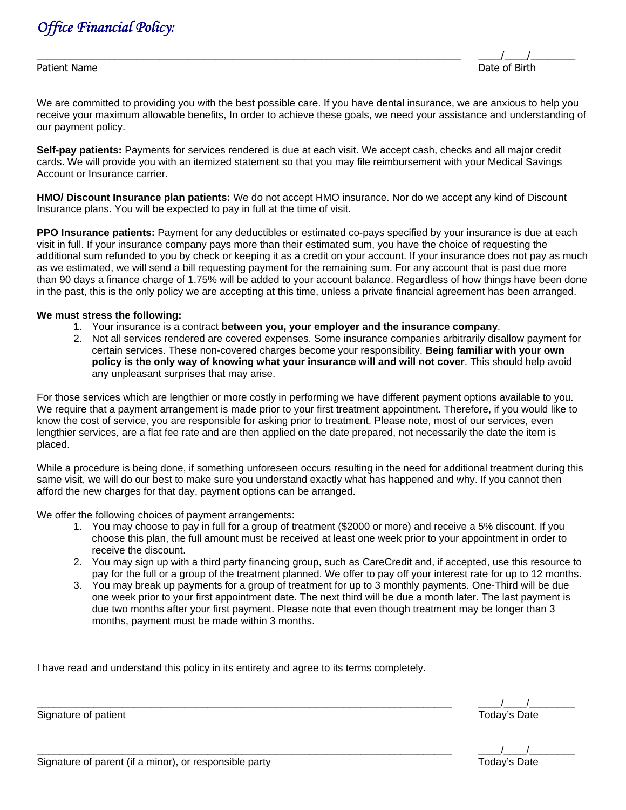

Patient Name Date of Birth

\_\_\_\_\_\_\_\_\_\_\_\_\_\_\_\_\_\_\_\_\_\_\_\_\_\_\_\_\_\_\_\_\_\_\_\_\_\_\_\_\_\_\_\_\_\_\_\_\_\_\_\_\_\_\_\_\_\_\_\_\_\_\_\_\_\_\_\_\_\_\_\_\_\_\_\_ \_\_\_\_/\_\_\_\_/\_\_\_\_\_\_\_\_

We are committed to providing you with the best possible care. If you have dental insurance, we are anxious to help you receive your maximum allowable benefits, In order to achieve these goals, we need your assistance and understanding of our payment policy.

**Self-pay patients:** Payments for services rendered is due at each visit. We accept cash, checks and all major credit cards. We will provide you with an itemized statement so that you may file reimbursement with your Medical Savings Account or Insurance carrier.

**HMO/ Discount Insurance plan patients:** We do not accept HMO insurance. Nor do we accept any kind of Discount Insurance plans. You will be expected to pay in full at the time of visit.

**PPO Insurance patients:** Payment for any deductibles or estimated co-pays specified by your insurance is due at each visit in full. If your insurance company pays more than their estimated sum, you have the choice of requesting the additional sum refunded to you by check or keeping it as a credit on your account. If your insurance does not pay as much as we estimated, we will send a bill requesting payment for the remaining sum. For any account that is past due more than 90 days a finance charge of 1.75% will be added to your account balance. Regardless of how things have been done in the past, this is the only policy we are accepting at this time, unless a private financial agreement has been arranged.

### **We must stress the following:**

- 1. Your insurance is a contract **between you, your employer and the insurance company**.
- 2. Not all services rendered are covered expenses. Some insurance companies arbitrarily disallow payment for certain services. These non-covered charges become your responsibility. **Being familiar with your own policy is the only way of knowing what your insurance will and will not cover**. This should help avoid any unpleasant surprises that may arise.

For those services which are lengthier or more costly in performing we have different payment options available to you. We require that a payment arrangement is made prior to your first treatment appointment. Therefore, if you would like to know the cost of service, you are responsible for asking prior to treatment. Please note, most of our services, even lengthier services, are a flat fee rate and are then applied on the date prepared, not necessarily the date the item is placed.

While a procedure is being done, if something unforeseen occurs resulting in the need for additional treatment during this same visit, we will do our best to make sure you understand exactly what has happened and why. If you cannot then afford the new charges for that day, payment options can be arranged.

We offer the following choices of payment arrangements:

- 1. You may choose to pay in full for a group of treatment (\$2000 or more) and receive a 5% discount. If you choose this plan, the full amount must be received at least one week prior to your appointment in order to receive the discount.
- 2. You may sign up with a third party financing group, such as CareCredit and, if accepted, use this resource to pay for the full or a group of the treatment planned. We offer to pay off your interest rate for up to 12 months.
- 3. You may break up payments for a group of treatment for up to 3 monthly payments. One-Third will be due one week prior to your first appointment date. The next third will be due a month later. The last payment is due two months after your first payment. Please note that even though treatment may be longer than 3 months, payment must be made within 3 months.

I have read and understand this policy in its entirety and agree to its terms completely.

\_\_\_\_\_\_\_\_\_\_\_\_\_\_\_\_\_\_\_\_\_\_\_\_\_\_\_\_\_\_\_\_\_\_\_\_\_\_\_\_\_\_\_\_\_\_\_\_\_\_\_\_\_\_\_\_\_\_\_\_\_\_\_\_\_\_\_\_\_\_\_\_\_ \_\_\_\_/\_\_\_\_/\_\_\_\_\_\_\_\_

Signature of patient Today's Date

\_\_\_\_\_\_\_\_\_\_\_\_\_\_\_\_\_\_\_\_\_\_\_\_\_\_\_\_\_\_\_\_\_\_\_\_\_\_\_\_\_\_\_\_\_\_\_\_\_\_\_\_\_\_\_\_\_\_\_\_\_\_\_\_\_\_\_\_\_\_\_\_\_ \_\_\_\_/\_\_\_\_/\_\_\_\_\_\_\_\_